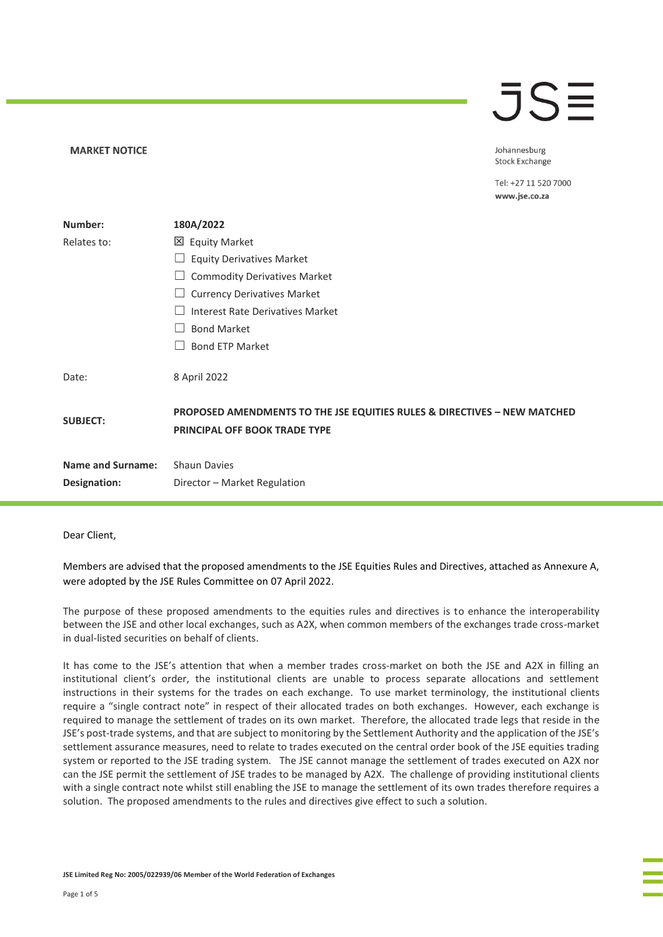### JSE

| <b>MARKET NOTICE</b> |                                                                                                                      | Johannesburg<br><b>Stock Exchange</b> |
|----------------------|----------------------------------------------------------------------------------------------------------------------|---------------------------------------|
|                      |                                                                                                                      | Tel: +27 11 520 7000<br>www.jse.co.za |
| Number:              | 180A/2022                                                                                                            |                                       |
| Relates to:          | 区 Equity Market                                                                                                      |                                       |
|                      | <b>Equity Derivatives Market</b>                                                                                     |                                       |
|                      | <b>Commodity Derivatives Market</b>                                                                                  |                                       |
|                      | <b>Currency Derivatives Market</b>                                                                                   |                                       |
|                      | <b>Interest Rate Derivatives Market</b>                                                                              |                                       |
|                      | <b>Bond Market</b>                                                                                                   |                                       |
|                      | <b>Bond ETP Market</b>                                                                                               |                                       |
| Date:                | 8 April 2022                                                                                                         |                                       |
| <b>SUBJECT:</b>      | <b>PROPOSED AMENDMENTS TO THE JSE EQUITIES RULES &amp; DIRECTIVES - NEW MATCHED</b><br>PRINCIPAL OFF BOOK TRADE TYPE |                                       |
| Name and Surname:    | <b>Shaun Davies</b>                                                                                                  |                                       |
| Designation:         | Director - Market Regulation                                                                                         |                                       |
|                      |                                                                                                                      |                                       |

Dear Client,

Members are advised that the proposed amendments to the JSE Equities Rules and Directives, attached as Annexure A, were adopted by the JSE Rules Committee on 07 April 2022.

The purpose of these proposed amendments to the equities rules and directives is to enhance the interoperability between the JSE and other local exchanges, such as A2X, when common members of the exchanges trade cross-market in dual-listed securities on behalf of clients.

It has come to the JSE's attention that when a member trades cross-market on both the JSE and A2X in filling an institutional client's order, the institutional clients are unable to process separate allocations and settlement instructions in their systems for the trades on each exchange. To use market terminology, the institutional clients require a "single contract note" in respect of their allocated trades on both exchanges. However, each exchange is required to manage the settlement of trades on its own market. Therefore, the allocated trade legs that reside in the JSE's post-trade systems, and that are subject to monitoring by the Settlement Authority and the application of the JSE's settlement assurance measures, need to relate to trades executed on the central order book of the JSE equities trading system or reported to the JSE trading system. The JSE cannot manage the settlement of trades executed on A2X nor can the JSE permit the settlement of JSE trades to be managed by A2X. The challenge of providing institutional clients with a single contract note whilst still enabling the JSE to manage the settlement of its own trades therefore requires a solution. The proposed amendments to the rules and directives give effect to such a solution.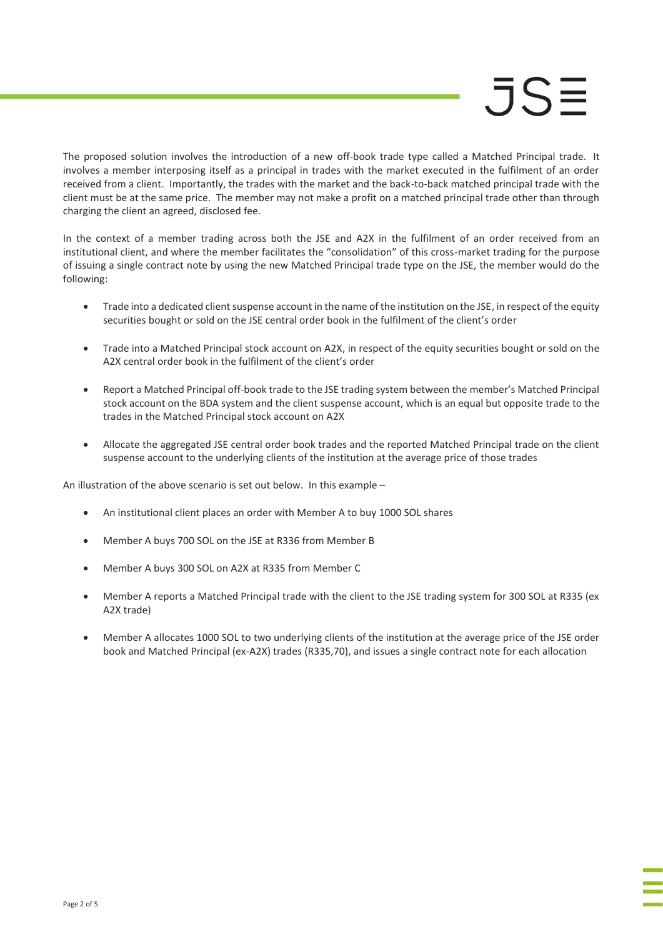# $JS=$

The proposed solution involves the introduction of a new off-book trade type called a Matched Principal trade. It involves a member interposing itself as a principal in trades with the market executed in the fulfilment of an order received from a client. Importantly, the trades with the market and the back-to-back matched principal trade with the client must be at the same price. The member may not make a profit on a matched principal trade other than through charging the client an agreed, disclosed fee.

In the context of a member trading across both the JSE and A2X in the fulfilment of an order received from an institutional client, and where the member facilitates the "consolidation" of this cross-market trading for the purpose of issuing a single contract note by using the new Matched Principal trade type on the JSE, the member would do the following:

- Trade into a dedicated client suspense account in the name of the institution on the JSE, in respect of the equity securities bought or sold on the JSE central order book in the fulfilment of the client's order
- Trade into a Matched Principal stock account on A2X, in respect of the equity securities bought or sold on the A2X central order book in the fulfilment of the client's order
- Report a Matched Principal off-book trade to the JSE trading system between the member's Matched Principal stock account on the BDA system and the client suspense account, which is an equal but opposite trade to the trades in the Matched Principal stock account on A2X
- Allocate the aggregated JSE central order book trades and the reported Matched Principal trade on the client suspense account to the underlying clients of the institution at the average price of those trades

An illustration of the above scenario is set out below. In this example –

- An institutional client places an order with Member A to buy 1000 SOL shares
- Member A buys 700 SOL on the JSE at R336 from Member B
- Member A buys 300 SOL on A2X at R335 from Member C
- Member A reports a Matched Principal trade with the client to the JSE trading system for 300 SOL at R335 (ex A2X trade)
- Member A allocates 1000 SOL to two underlying clients of the institution at the average price of the JSE order book and Matched Principal (ex-A2X) trades (R335,70), and issues a single contract note for each allocation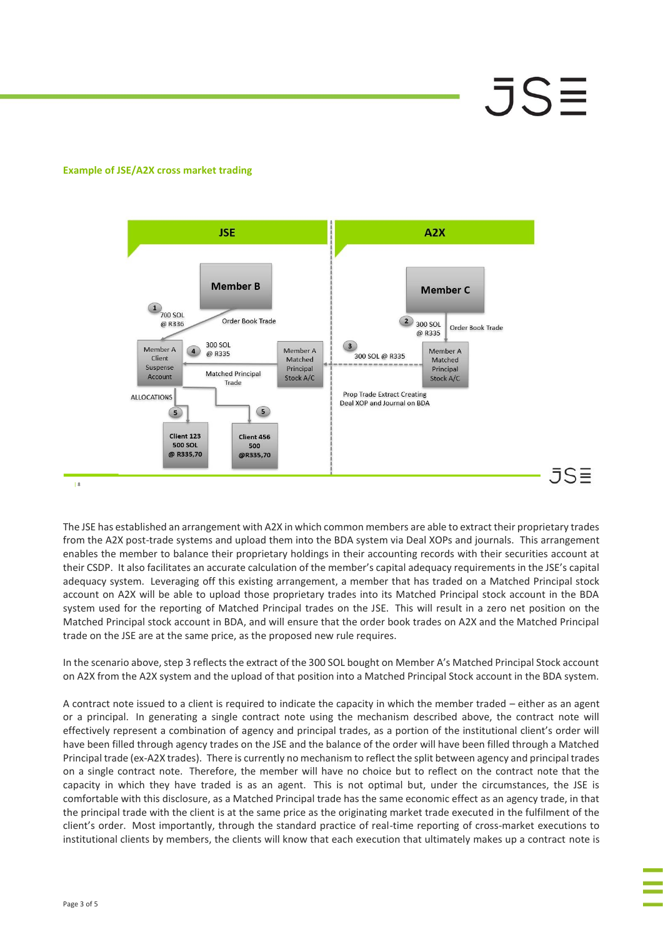# JSE

### **Example of JSE/A2X cross market trading**



The JSE has established an arrangement with A2X in which common members are able to extract their proprietary trades from the A2X post-trade systems and upload them into the BDA system via Deal XOPs and journals. This arrangement enables the member to balance their proprietary holdings in their accounting records with their securities account at their CSDP. It also facilitates an accurate calculation of the member's capital adequacy requirements in the JSE's capital adequacy system. Leveraging off this existing arrangement, a member that has traded on a Matched Principal stock account on A2X will be able to upload those proprietary trades into its Matched Principal stock account in the BDA system used for the reporting of Matched Principal trades on the JSE. This will result in a zero net position on the Matched Principal stock account in BDA, and will ensure that the order book trades on A2X and the Matched Principal trade on the JSE are at the same price, as the proposed new rule requires.

In the scenario above, step 3 reflects the extract of the 300 SOL bought on Member A's Matched Principal Stock account on A2X from the A2X system and the upload of that position into a Matched Principal Stock account in the BDA system.

A contract note issued to a client is required to indicate the capacity in which the member traded – either as an agent or a principal. In generating a single contract note using the mechanism described above, the contract note will effectively represent a combination of agency and principal trades, as a portion of the institutional client's order will have been filled through agency trades on the JSE and the balance of the order will have been filled through a Matched Principal trade (ex-A2X trades). There is currently no mechanism to reflect the split between agency and principal trades on a single contract note. Therefore, the member will have no choice but to reflect on the contract note that the capacity in which they have traded is as an agent. This is not optimal but, under the circumstances, the JSE is comfortable with this disclosure, as a Matched Principal trade has the same economic effect as an agency trade, in that the principal trade with the client is at the same price as the originating market trade executed in the fulfilment of the client's order. Most importantly, through the standard practice of real-time reporting of cross-market executions to institutional clients by members, the clients will know that each execution that ultimately makes up a contract note is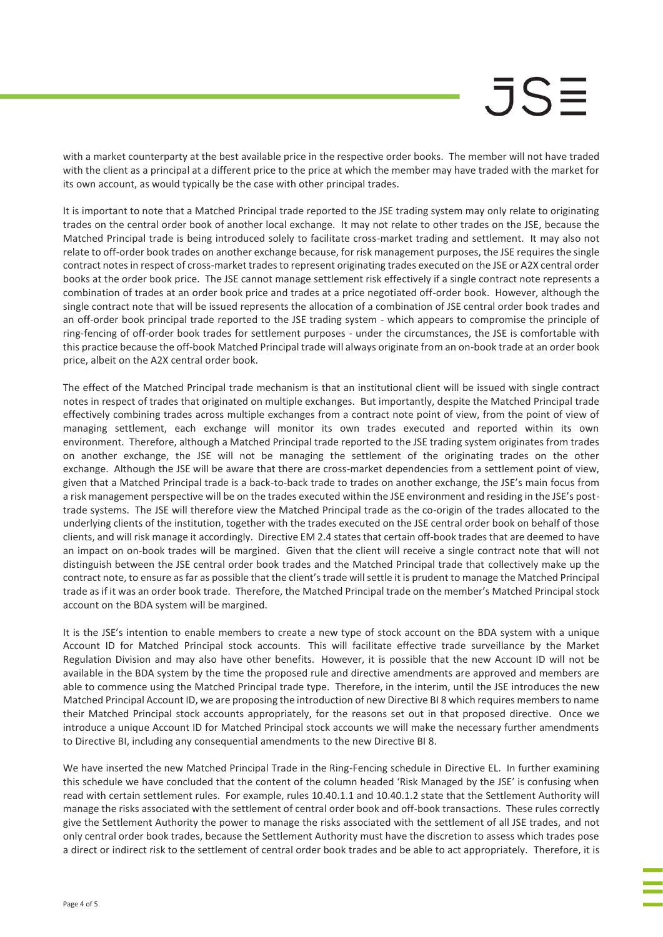## JSE

with a market counterparty at the best available price in the respective order books. The member will not have traded with the client as a principal at a different price to the price at which the member may have traded with the market for its own account, as would typically be the case with other principal trades.

It is important to note that a Matched Principal trade reported to the JSE trading system may only relate to originating trades on the central order book of another local exchange. It may not relate to other trades on the JSE, because the Matched Principal trade is being introduced solely to facilitate cross-market trading and settlement. It may also not relate to off-order book trades on another exchange because, for risk management purposes, the JSE requires the single contract notes in respect of cross-market trades to represent originating trades executed on the JSE or A2X central order books at the order book price. The JSE cannot manage settlement risk effectively if a single contract note represents a combination of trades at an order book price and trades at a price negotiated off-order book. However, although the single contract note that will be issued represents the allocation of a combination of JSE central order book trades and an off-order book principal trade reported to the JSE trading system - which appears to compromise the principle of ring-fencing of off-order book trades for settlement purposes - under the circumstances, the JSE is comfortable with this practice because the off-book Matched Principal trade will always originate from an on-book trade at an order book price, albeit on the A2X central order book.

The effect of the Matched Principal trade mechanism is that an institutional client will be issued with single contract notes in respect of trades that originated on multiple exchanges. But importantly, despite the Matched Principal trade effectively combining trades across multiple exchanges from a contract note point of view, from the point of view of managing settlement, each exchange will monitor its own trades executed and reported within its own environment. Therefore, although a Matched Principal trade reported to the JSE trading system originates from trades on another exchange, the JSE will not be managing the settlement of the originating trades on the other exchange. Although the JSE will be aware that there are cross-market dependencies from a settlement point of view, given that a Matched Principal trade is a back-to-back trade to trades on another exchange, the JSE's main focus from a risk management perspective will be on the trades executed within the JSE environment and residing in the JSE's posttrade systems. The JSE will therefore view the Matched Principal trade as the co-origin of the trades allocated to the underlying clients of the institution, together with the trades executed on the JSE central order book on behalf of those clients, and will risk manage it accordingly. Directive EM 2.4 states that certain off-book trades that are deemed to have an impact on on-book trades will be margined. Given that the client will receive a single contract note that will not distinguish between the JSE central order book trades and the Matched Principal trade that collectively make up the contract note, to ensure as far as possible that the client's trade will settle it is prudent to manage the Matched Principal trade as if it was an order book trade. Therefore, the Matched Principal trade on the member's Matched Principal stock account on the BDA system will be margined.

It is the JSE's intention to enable members to create a new type of stock account on the BDA system with a unique Account ID for Matched Principal stock accounts. This will facilitate effective trade surveillance by the Market Regulation Division and may also have other benefits. However, it is possible that the new Account ID will not be available in the BDA system by the time the proposed rule and directive amendments are approved and members are able to commence using the Matched Principal trade type. Therefore, in the interim, until the JSE introduces the new Matched Principal Account ID, we are proposing the introduction of new Directive BI 8 which requires members to name their Matched Principal stock accounts appropriately, for the reasons set out in that proposed directive. Once we introduce a unique Account ID for Matched Principal stock accounts we will make the necessary further amendments to Directive BI, including any consequential amendments to the new Directive BI 8.

We have inserted the new Matched Principal Trade in the Ring-Fencing schedule in Directive EL. In further examining this schedule we have concluded that the content of the column headed 'Risk Managed by the JSE' is confusing when read with certain settlement rules. For example, rules 10.40.1.1 and 10.40.1.2 state that the Settlement Authority will manage the risks associated with the settlement of central order book and off-book transactions. These rules correctly give the Settlement Authority the power to manage the risks associated with the settlement of all JSE trades, and not only central order book trades, because the Settlement Authority must have the discretion to assess which trades pose a direct or indirect risk to the settlement of central order book trades and be able to act appropriately. Therefore, it is